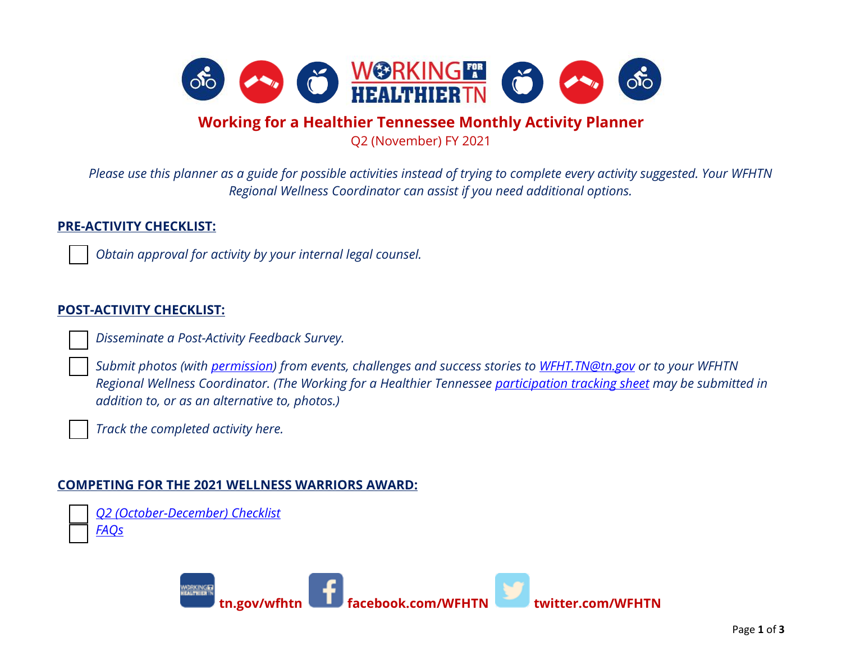

## **Working for a Healthier Tennessee Monthly Activity Planner**

Q2 (November) FY 2021

*Please use this planner as a guide for possible activities instead of trying to complete every activity suggested. Your WFHTN Regional Wellness Coordinator can assist if you need additional options.*

## **PRE-ACTIVITY CHECKLIST:**

*Obtain approval for activity by your internal legal counsel.* 

## **POST-ACTIVITY CHECKLIST:**

*Disseminate a Post-Activity Feedback Survey.*

 *Submit photos (with [permission\)](https://www.tn.gov/content/dam/tn/wfhtn/documents/WFHTN%20Photo%20Waiver%20Multi.pdf) from events, challenges and success stories to [WFHT.TN@tn.gov](mailto:WFHT.TN@tn.gov) or to your WFHTN Regional Wellness Coordinator. (The Working for a Healthier Tennessee [participation tracking sheet](https://www.tn.gov/content/dam/tn/wfhtn/documents/WFHT%20Participation%20Tracking%20Sheet.pdf) may be submitted in addition to, or as an alternative to, photos.)* 

*Track the completed activity here.* 

## **COMPETING FOR THE 2021 WELLNESS WARRIORS AWARD:**

 *Q2 [\(October-December\) Checklist](https://www.tn.gov/content/dam/tn/wfhtn/documents/wfhtn_2021_q2_wellness_warriors_award_checklist_final.pdf) [FAQs](https://www.tn.gov/content/dam/tn/wfhtn/documents/wfhtn_2021_wellness%20warriors_award_faqs_final.pdf)*

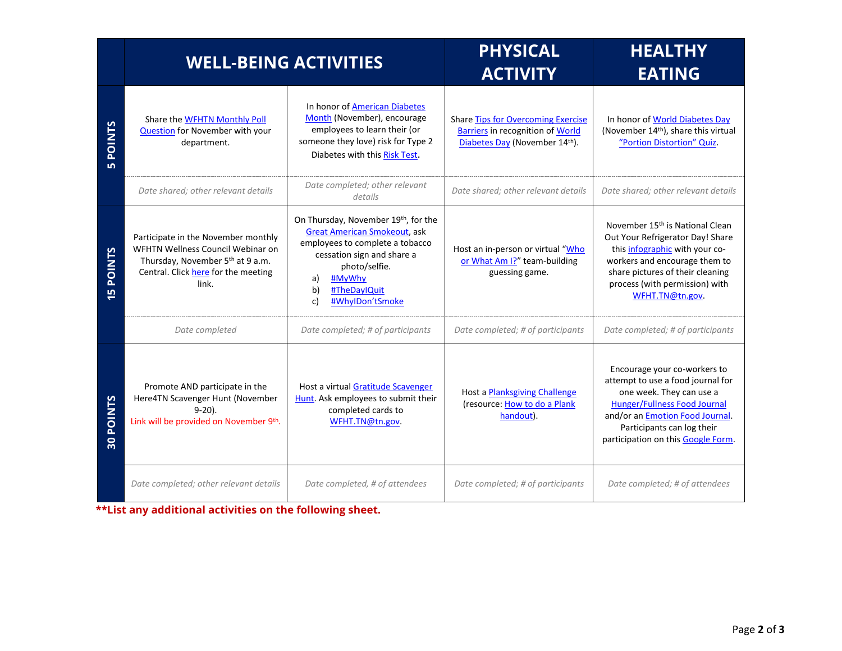|                                  | <b>WELL-BEING ACTIVITIES</b>                                                                                                                                             |                                                                                                                                                                                                                             | <b>PHYSICAL</b><br><b>ACTIVITY</b>                                                                                    | <b>HEALTHY</b><br><b>EATING</b>                                                                                                                                                                                                                     |
|----------------------------------|--------------------------------------------------------------------------------------------------------------------------------------------------------------------------|-----------------------------------------------------------------------------------------------------------------------------------------------------------------------------------------------------------------------------|-----------------------------------------------------------------------------------------------------------------------|-----------------------------------------------------------------------------------------------------------------------------------------------------------------------------------------------------------------------------------------------------|
| <b>POINTS</b>                    | Share the WFHTN Monthly Poll<br>Question for November with your<br>department.                                                                                           | In honor of <b>American Diabetes</b><br>Month (November), encourage<br>employees to learn their (or<br>someone they love) risk for Type 2<br>Diabetes with this Risk Test.                                                  | <b>Share Tips for Overcoming Exercise</b><br><b>Barriers in recognition of World</b><br>Diabetes Day (November 14th). | In honor of World Diabetes Day<br>(November 14th), share this virtual<br>"Portion Distortion" Quiz.                                                                                                                                                 |
|                                  | Date shared; other relevant details                                                                                                                                      | Date completed; other relevant<br>details                                                                                                                                                                                   | Date shared; other relevant details                                                                                   | Date shared; other relevant details                                                                                                                                                                                                                 |
| <b>POINTS</b><br>in.             | Participate in the November monthly<br>WFHTN Wellness Council Webinar on<br>Thursday, November 5 <sup>th</sup> at 9 a.m.<br>Central. Click here for the meeting<br>link. | On Thursday, November 19th, for the<br><b>Great American Smokeout, ask</b><br>employees to complete a tobacco<br>cessation sign and share a<br>photo/selfie.<br>#MyWhy<br>a)<br>b)<br>#TheDaylQuit<br>#WhyIDon'tSmoke<br>c) | Host an in-person or virtual "Who<br>or What Am I?" team-building<br>guessing game.                                   | November 15 <sup>th</sup> is National Clean<br>Out Your Refrigerator Day! Share<br>this infographic with your co-<br>workers and encourage them to<br>share pictures of their cleaning<br>process (with permission) with<br>WFHT.TN@tn.gov.         |
|                                  | Date completed                                                                                                                                                           | Date completed; # of participants                                                                                                                                                                                           | Date completed; # of participants                                                                                     | Date completed; # of participants                                                                                                                                                                                                                   |
| <b>POINTS</b><br>$\overline{30}$ | Promote AND participate in the<br>Here4TN Scavenger Hunt (November<br>$9-20$ ).<br>Link will be provided on November 9th.                                                | Host a virtual Gratitude Scavenger<br>Hunt. Ask employees to submit their<br>completed cards to<br>WFHT.TN@tn.gov.                                                                                                          | Host a <b>Planksgiving Challenge</b><br>(resource: How to do a Plank<br>handout).                                     | Encourage your co-workers to<br>attempt to use a food journal for<br>one week. They can use a<br><b>Hunger/Fullness Food Journal</b><br>and/or an <i>Emotion Food Journal</i> .<br>Participants can log their<br>participation on this Google Form. |
|                                  | Date completed; other relevant details                                                                                                                                   | Date completed, # of attendees                                                                                                                                                                                              | Date completed; # of participants                                                                                     | Date completed; # of attendees                                                                                                                                                                                                                      |

**\*\*List any additional activities on the following sheet.**